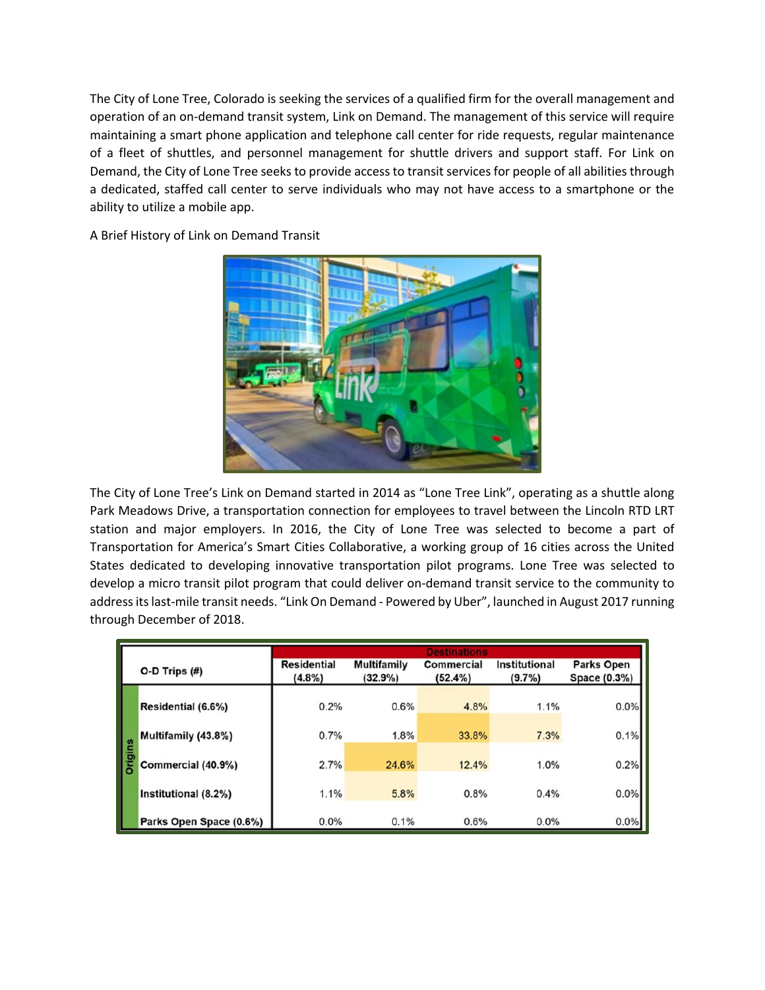The City of Lone Tree, Colorado is seeking the services of a qualified firm for the overall management and operation of an on-demand transit system, Link on Demand. The management of this service will require maintaining a smart phone application and telephone call center for ride requests, regular maintenance of a fleet of shuttles, and personnel management for shuttle drivers and support staff. For Link on Demand, the City of Lone Tree seeks to provide access to transit services for people of all abilities through a dedicated, staffed call center to serve individuals who may not have access to a smartphone or the ability to utilize a mobile app.



A Brief History of Link on Demand Transit

The City of Lone Tree's Link on Demand started in 2014 as "Lone Tree Link", operating as a shuttle along Park Meadows Drive, a transportation connection for employees to travel between the Lincoln RTD LRT station and major employers. In 2016, the City of Lone Tree was selected to become a part of Transportation for America's Smart Cities Collaborative, a working group of 16 cities across the United States dedicated to developing innovative transportation pilot programs. Lone Tree was selected to develop a micro transit pilot program that could deliver on-demand transit service to the community to address its last-mile transit needs. "Link On Demand - Powered by Uber", launched in August 2017 running through December of 2018.

|                    |                         | <b>Destinations</b>             |                               |                              |                            |                                   |
|--------------------|-------------------------|---------------------------------|-------------------------------|------------------------------|----------------------------|-----------------------------------|
| $O-D$ Trips $(\#)$ |                         | <b>Residential</b><br>$(4.8\%)$ | <b>Multifamily</b><br>(32.9%) | <b>Commercial</b><br>(52.4%) | Institutional<br>$(9.7\%)$ | <b>Parks Open</b><br>Space (0.3%) |
| <b>Origins</b>     | Residential (6.6%)      | 0.2%                            | 0.6%                          | 4.8%                         | 1.1%                       | 0.0%                              |
|                    | Multifamily (43.8%)     | 0.7%                            | 1.8%                          | 33.8%                        | 7.3%                       | 0.1%                              |
|                    | Commercial (40.9%)      | 2.7%                            | 24.6%                         | 12.4%                        | 1.0%                       | 0.2%                              |
|                    | Institutional (8.2%)    | 1.1%                            | 5.8%                          | 0.8%                         | 0.4%                       | 0.0%                              |
|                    | Parks Open Space (0.6%) | 0.0%                            | 0.1%                          | 0.6%                         | 0.0%                       | 0.0%                              |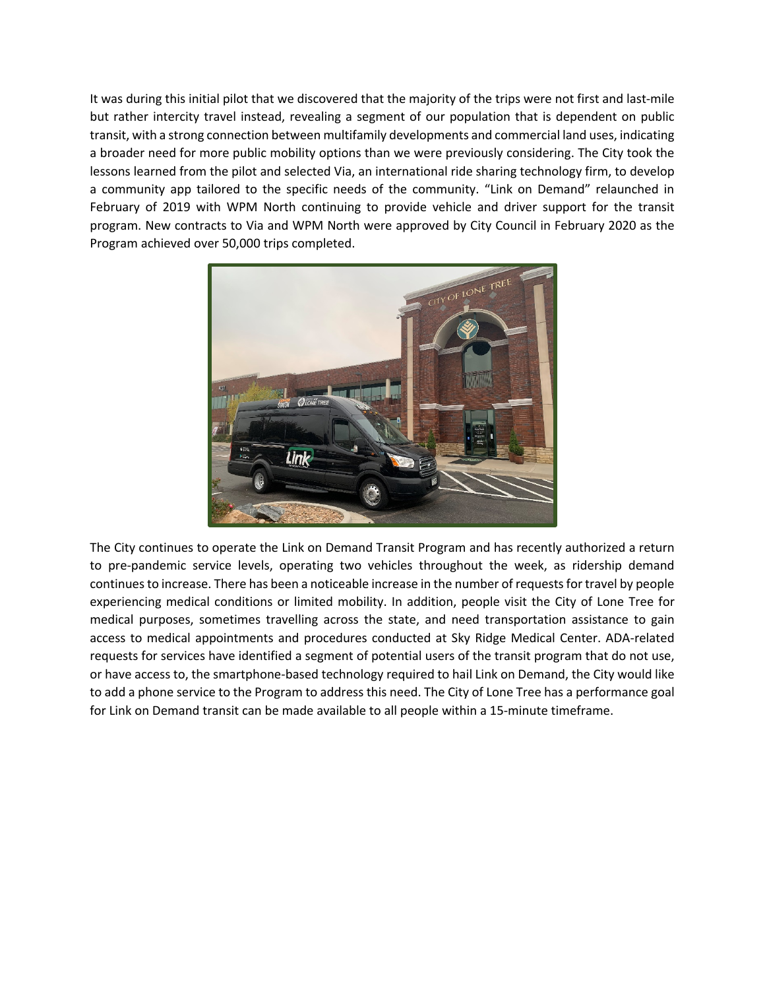It was during this initial pilot that we discovered that the majority of the trips were not first and last-mile but rather intercity travel instead, revealing a segment of our population that is dependent on public transit, with a strong connection between multifamily developments and commercial land uses, indicating a broader need for more public mobility options than we were previously considering. The City took the lessons learned from the pilot and selected Via, an international ride sharing technology firm, to develop a community app tailored to the specific needs of the community. "Link on Demand" relaunched in February of 2019 with WPM North continuing to provide vehicle and driver support for the transit program. New contracts to Via and WPM North were approved by City Council in February 2020 as the Program achieved over 50,000 trips completed.



The City continues to operate the Link on Demand Transit Program and has recently authorized a return to pre-pandemic service levels, operating two vehicles throughout the week, as ridership demand continues to increase. There has been a noticeable increase in the number of requests for travel by people experiencing medical conditions or limited mobility. In addition, people visit the City of Lone Tree for medical purposes, sometimes travelling across the state, and need transportation assistance to gain access to medical appointments and procedures conducted at Sky Ridge Medical Center. ADA-related requests for services have identified a segment of potential users of the transit program that do not use, or have access to, the smartphone-based technology required to hail Link on Demand, the City would like to add a phone service to the Program to address this need. The City of Lone Tree has a performance goal for Link on Demand transit can be made available to all people within a 15-minute timeframe.